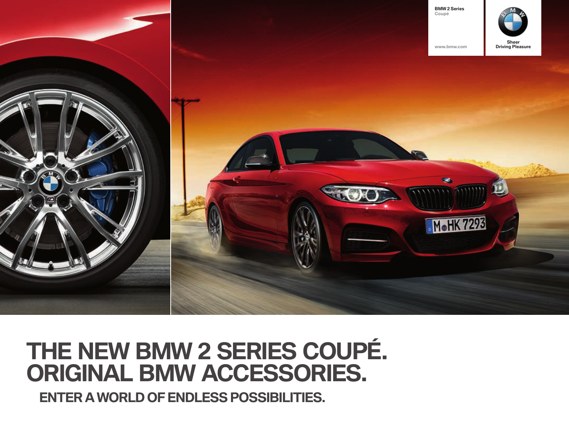

## **THE NEW BMW 2 SERIES COUPÉ. ORIGINAL BMW ACCESSORIES.**

**ENTER A WORLD OF ENDLESS POSSIBILITIES.**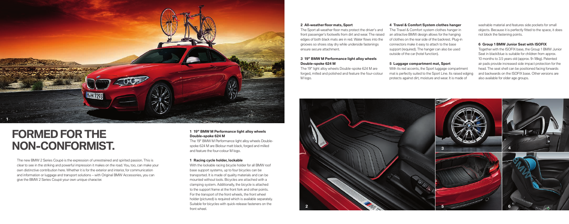

## **FORMED FOR THE NON-CONFORMIST.**

The new BMW 2 Series Coupé is the expression of unrestrained and spirited passion. This is clear to see in the striking and powerful impression it makes on the road. You, too, can make your own distinctive contribution here. Whether it is for the exterior and interior, for communication and information or luggage and transport solutions – with Original BMW Accessories, you can aive the BMW 2 Series Coupé your own unique character.

#### **All-weather fl oor mats, Sport**

The Sport all-weather floor mats protect the driver's and front passenger's footwells from dirt and wear. The raised edges of both black mats are in red. Water flows into the grooves so shoes stay dry while underside fastenings ensure secure attachment.

#### **" BMW M Performance light alloy wheels**  Double-spoke 624 M

The 19" light alloy wheels Double-spoke 624 M are forged, milled and polished and feature the four-colour M logo.

#### **Travel & Comfort System clothes hanger**

The Travel & Comfort system clothes hanger in an attractive BMW design allows for the hanging of clothes on the rear side of the backrest. Plug-in connectors make it easy to attach to the base support (required). The hanger can also be used outside of the car (hotel function).

#### **Luggage compartment mat, Sport**

With its red accents, the Sport luggage compartment mat is perfectly suited to the Sport Line. Its raised edging protects against dirt, moisture and wear. It is made of

washable material and features side pockets for small objects. Because it is perfectly fitted to the space, it does not block the fastening points.

#### **Group BMW Junior Seat with ISOFIX**

Together with the ISOFIX base, the Group 1 BMW Junior Seat in black/blue is suitable for children from approx. 10 months to 3.5 years old (approx. 9-18kg). Patented air pads provide increased side impact protection for the head. The seat shell can be positioned facing forwards and backwards on the ISOFIX base. Other versions are also available for older age groups.



#### **" BMW M Performance light alloy wheels**  Double-spoke 624 M

The 19" BMW M Performance light alloy wheels Doublespoke 624 M are Biolour matt black, forged and milled and feature the four-colour M logo.

#### **Racing cycle holder, lockable**

With the lockable racing bicycle holder for all BMW roof base support systems, up to four bicycles can be transported. It is made of quality materials and can be mounted without tools. Bicycles are attached with a clamping system. Additionally, the bicycle is attached to the support frame at the front fork and other points. For the transport of the front wheels, the front wheel holder (pictured) is required which is available separately. Suitable for bicycles with quick-release fasteners on the front wheel.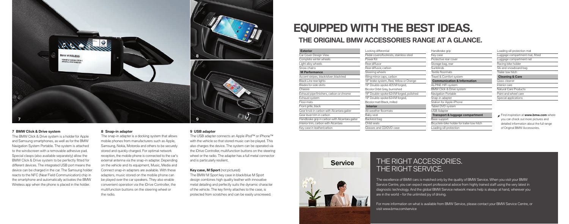

#### **BMW Click & Drive system Snap-in adapter USB adapter**

The BMW Click & Drive system is a holder for Apple and Samsung smartphones, as well as for the BMW Navigation System Portable. The system is attached to the windscreen with a removable adhesive pad. Special clasps (also available separately) allow the BMW Click & Drive system to be perfectly fitted for different devices. The integrated USB port means the device can be charged in the car. The Samsung holder reacts to the NFC (Near Field Communication) chip in the smartphone and automatically activates the BMW Wireless app when the phone is placed in the holder.

The snap-in adapter is a docking system that allows mobile phones from manufacturers such as Apple, Samsung, Nokia, Motorola and others to be securely stored and quickly charged. For optimal network reception, the mobile phone is connected to the car's external antenna via the snap-in adapter. Depending on the vehicle and its equipment, Music, Media and Connect snap-in adapters are available. With these adapters, music stored on the mobile phone can be played over the car speakers. They also enable convenient operation via the iDrive Controller, the multifunction buttons on the steering wheel or the radio.

The USB adapter connects an Apple iPod™ or iPhone™ with the vehicle so that stored music can be played. This also charges the device. The system can be operated via the iDrive Controller, multifunction buttons on the steering wheel or the radio. The adapter has a full metal connector and is particularly resilient.

#### **Key case, M Sport** (not pictured)

The BMW M Sport key case in black/blue M Sport design combines high quality leather with innovative metal detailing and perfectly suits the dynamic character of the vehicle. The key firmly attaches to the case, is protected from scratches and can be easily unscrewed.

# **EQUIPPED WITH THE BEST IDEAS.**

Locking differential

### **THE ORIGINAL BMW ACCESSORIES RANGE AT A GLANCE.**

**Exterior** Car Cover Design View Complete winter wheels Light alloy wheels Snow chains **M Performance**  Accent stripes, black/silver; black/red Black Line rear lights Blades for side skirts **Chaccic** Exhaust pipe finishers, carbon or chrome Exhaust system Floor mats Front grille, black Gear knob in carbon with Alcantara gaiter Gear lever trim in carbon Handbrake grip in carbon with Alcantara gaiter Interior trim, carbon with Alcantara Key case in leather/carbon

Pedal covers/footrests, stainless steel Power Kit Rear diffusor Rear diffusor, carbon Steering wheels Wing mirror caps, carbon 18" brake system, Red, Yellow or Orang 19" Double-spoke 405 M forged. Bicolor Orbit Grey, burnished 19" Double-spoke 624 M forged, polis 19" Double-spoke 624 M forged. Bicolor matt Black, milled **Interior Ill-weather floormats** Baby seat Backrest bag Child seats Glasses and CD/DVD case

|     | Handbrake grip                              |
|-----|---------------------------------------------|
|     | Key case                                    |
|     | Protective rear cover                       |
|     | Storage bag, rear                           |
|     | Sunblinds                                   |
|     | Textile floormats                           |
|     | Travel & Comfort system                     |
| ge  | <b>Communication &amp; Information</b>      |
|     | <b>ALPINE HiFi system</b>                   |
|     | BMW Click & Drive system                    |
| hed | Navigation Portable                         |
|     | Snap-in adapter                             |
|     | Station for Apple iPhone                    |
|     | Tablet DVD system                           |
|     | <b>USB Adapter</b>                          |
|     | Transport & luggage compartment             |
|     | Base support                                |
|     | Bicycle/e-bike holder for trailer tow hitch |
|     | Loading sill protection                     |
|     |                                             |

Loading sill protection mat Luggage compartment mat, fitted Luggage compartment net Racing bike holder Ski and snowboard bag Trailer tow hitch **Cleaning & Care** Glass cleaner Interior care Natural Care Products Paint and wheel care Special applications

 Find inspiration at **www.bmw.com** where you can check out more pictures and detailed information about the full range of Original BMW Accessories.



## THE RIGHT ACCESSORIES. THE RIGHT SERVICE.

The excellence of BMW cars is matched only by the quality of BMW Service. When you visit your BMW Service Centre, you can expect expert professional advice from highly trained staff using the very latest in diagnostic technology. And the global BMW Service network means help is always at hand, wherever you are in the world – for the unlimited joy of driving.

For more information on what is available from BMW Service, please contact your BMW Service Centre, or visit www.bmw.com/service